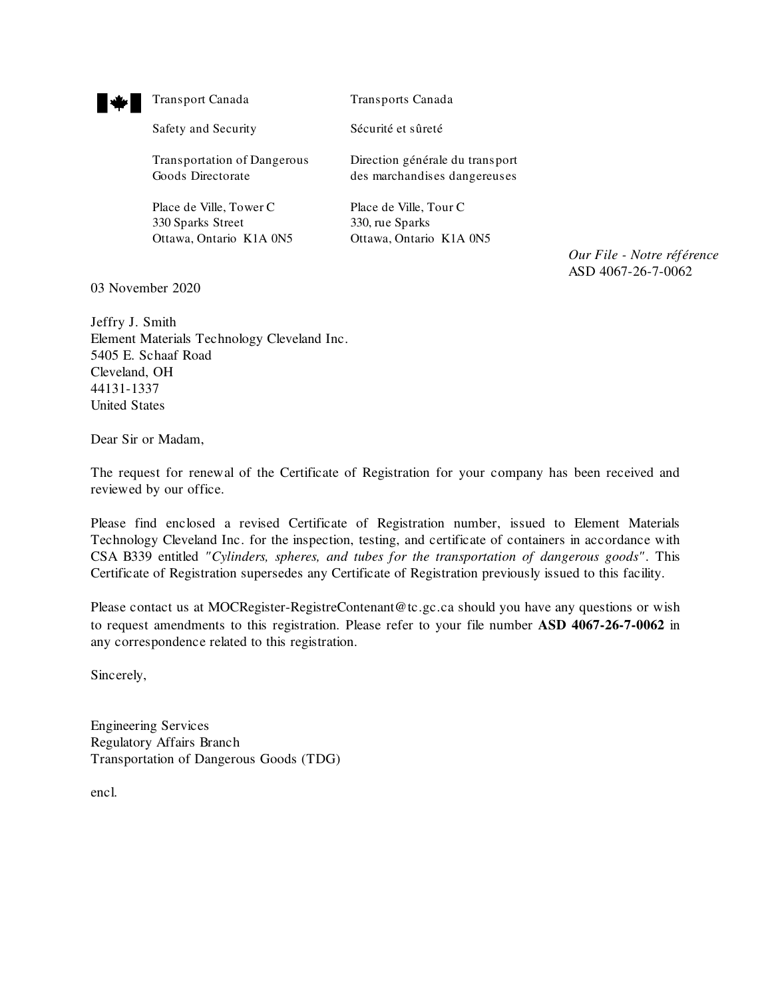

Transport Canada Transports Canada

Safety and Security Sécurité et sûreté

Transportation of Dangerous Direction générale du transport

Place de Ville, Tower C Place de Ville, Tour C 330 Sparks Street 330, rue Sparks Ottawa, Ontario K1A 0N5 Ottawa, Ontario K1A 0N5

Goods Directorate des marchandises dangereuses

*Our File - Notre référence* ASD 4067-26-7-0062

03 November 2020

Jeffry J. Smith Element Materials Technology Cleveland Inc. 5405 E. Schaaf Road Cleveland, OH 44131-1337 United States

Dear Sir or Madam,

The request for renewal of the Certificate of Registration for your company has been received and reviewed by our office.

Please find enclosed a revised Certificate of Registration number, issued to Element Materials Technology Cleveland Inc. for the inspection, testing, and certificate of containers in accordance with CSA B339 entitled *"Cylinders, spheres, and tubes for the transportation of dangerous goods"*. This Certificate of Registration supersedes any Certificate of Registration previously issued to this facility.

Please contact us at MOCRegister-RegistreContenant@tc.gc.ca should you have any questions or wish to request amendments to this registration. Please refer to your file number **ASD 4067-26-7-0062** in any correspondence related to this registration.

Sincerely,

Engineering Services Regulatory Affairs Branch Transportation of Dangerous Goods (TDG)

encl.